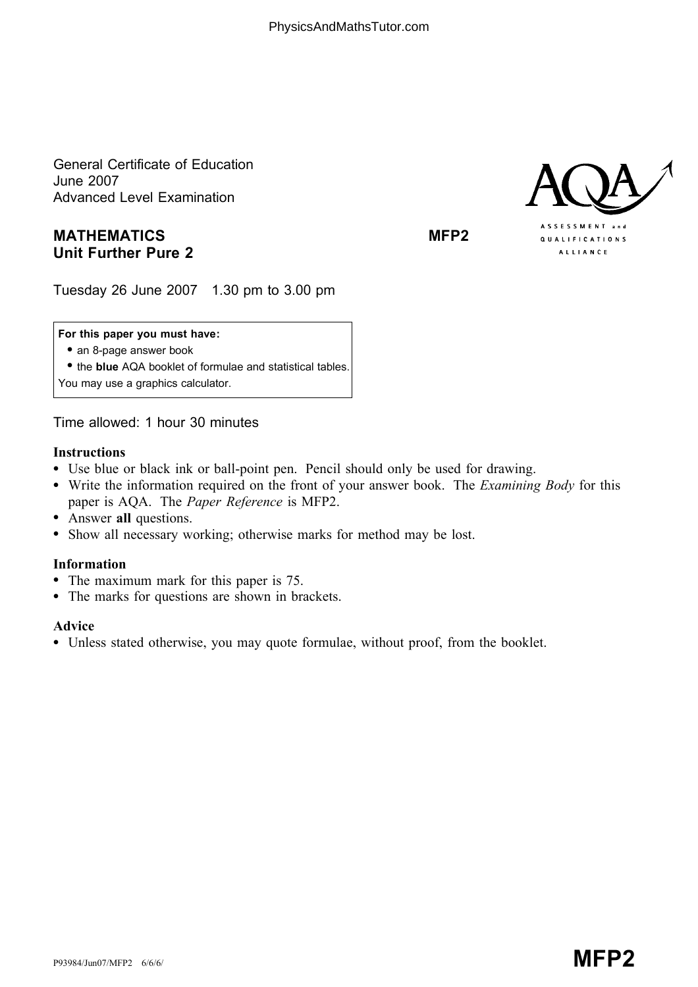General Certificate of Education June 2007 Advanced Level Examination

# MATHEMATICS MEDIAN MEP2 Unit Further Pure 2



Tuesday 26 June 2007 1.30 pm to 3.00 pm

## For this paper you must have:

• an 8-page answer book

• the blue AQA booklet of formulae and statistical tables.

You may use a graphics calculator.

Time allowed: 1 hour 30 minutes

### Instructions

- \* Use blue or black ink or ball-point pen. Pencil should only be used for drawing.
- Write the information required on the front of your answer book. The *Examining Body* for this paper is AQA. The Paper Reference is MFP2.
- Answer all questions.
- \* Show all necessary working; otherwise marks for method may be lost.

## Information

- The maximum mark for this paper is 75.
- The marks for questions are shown in brackets.

#### Advice

\* Unless stated otherwise, you may quote formulae, without proof, from the booklet.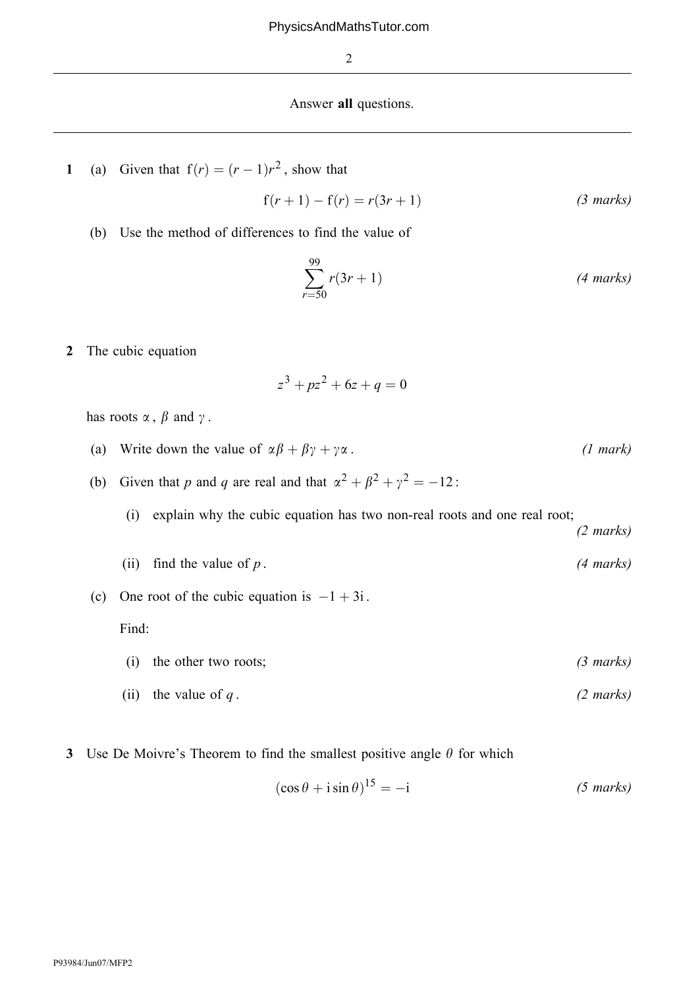#### Answer all questions.

1 (a) Given that  $f(r) = (r - 1)r^2$ , show that

$$
f(r + 1) - f(r) = r(3r + 1)
$$
 (3 marks)

(b) Use the method of differences to find the value of

$$
\sum_{r=50}^{99} r(3r+1)
$$
 (4 marks)

2 The cubic equation

$$
z^3 + pz^2 + 6z + q = 0
$$

has roots  $\alpha$ ,  $\beta$  and  $\gamma$ .

- (a) Write down the value of  $\alpha\beta + \beta\gamma + \gamma\alpha$ . (1 mark)
- (b) Given that p and q are real and that  $\alpha^2 + \beta^2 + \gamma^2 = -12$ :
	- (i) explain why the cubic equation has two non-real roots and one real root;

(2 marks)

- (ii) find the value of  $p$ . (4 marks)
- (c) One root of the cubic equation is  $-1 + 3i$ .

Find:

(i) the other two roots; (3 marks)

(ii) the value of 
$$
q
$$
.  $(2 \text{ marks})$ 

3 Use De Moivre's Theorem to find the smallest positive angle  $\theta$  for which

$$
(\cos \theta + i \sin \theta)^{15} = -i \tag{5 marks}
$$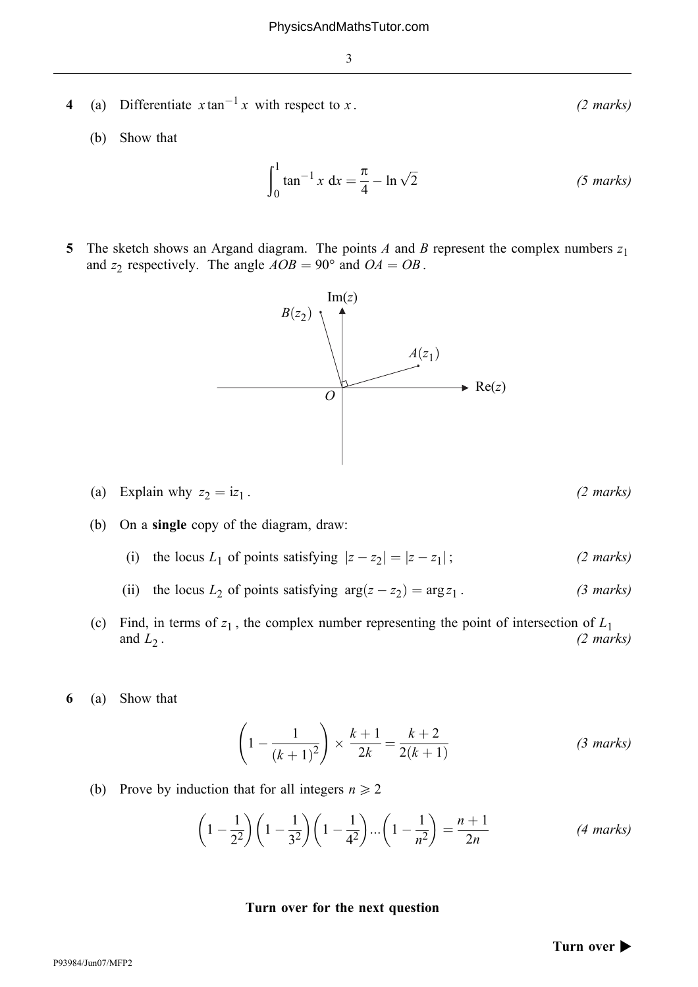- 4 (a) Differentiate  $x \tan^{-1} x$  with respect to x. (2 marks)
	- (b) Show that

$$
\int_0^1 \tan^{-1} x \, dx = \frac{\pi}{4} - \ln \sqrt{2}
$$
 (5 marks)

5 The sketch shows an Argand diagram. The points A and B represent the complex numbers  $z_1$ and  $z_2$  respectively. The angle  $AOB = 90^\circ$  and  $OA = OB$ .



- (a) Explain why  $z_2 = iz_1$ . (2 marks)
- (b) On a single copy of the diagram, draw:
	- (i) the locus  $L_1$  of points satisfying  $|z z_2| = |z z_1|$ ; (2 marks)
	- (ii) the locus  $L_2$  of points satisfying  $\arg(z z_2) = \arg z_1$ . (3 marks)
- (c) Find, in terms of  $z_1$ , the complex number representing the point of intersection of  $L_1$  and  $L_2$ . (2 marks) and  $L_2$ . (2 marks)
- 6 (a) Show that

$$
\left(1 - \frac{1}{(k+1)^2}\right) \times \frac{k+1}{2k} = \frac{k+2}{2(k+1)}
$$
 (3 marks)

(b) Prove by induction that for all integers  $n \geq 2$ 

$$
\left(1-\frac{1}{2^2}\right)\left(1-\frac{1}{3^2}\right)\left(1-\frac{1}{4^2}\right)\dots\left(1-\frac{1}{n^2}\right)=\frac{n+1}{2n}
$$
 (4 marks)

#### Turn over for the next question

Turn over  $\blacktriangleright$